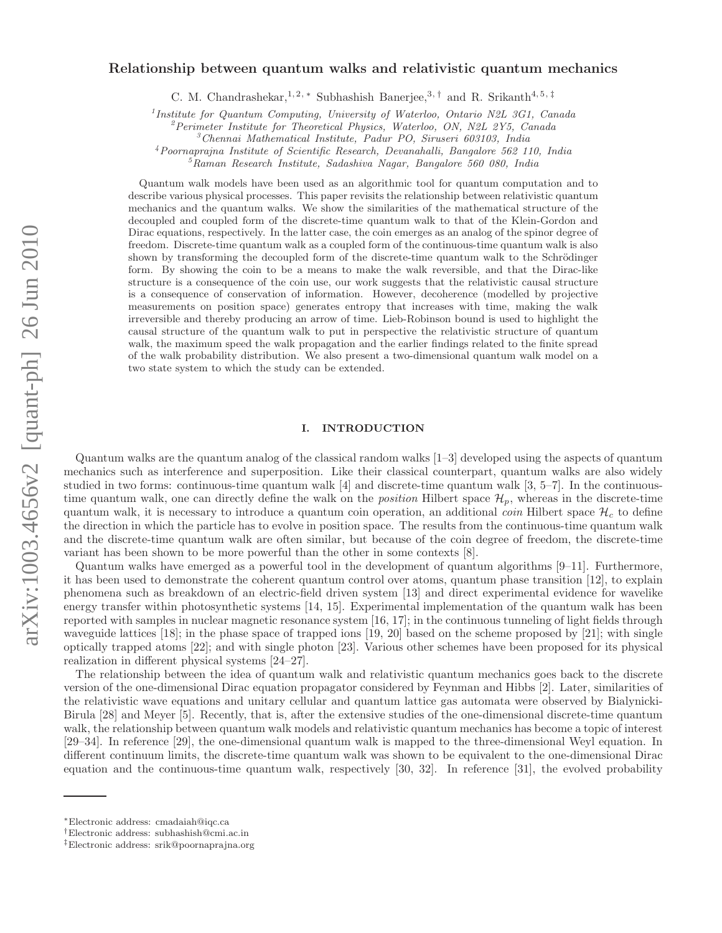# arXiv:1003.4656v2 [quant-ph] 26 Jun 2010 arXiv:1003.4656v2 [quant-ph] 26 Jun 2010

# Relationship between quantum walks and relativistic quantum mechanics

C. M. Chandrashekar,<sup>1, 2, \*</sup> Subhashish Banerjee,<sup>3,†</sup> and R. Srikanth<sup>4, 5,‡</sup>

<sup>1</sup>Institute for Quantum Computing, University of Waterloo, Ontario N2L 3G1, Canada

<sup>2</sup> Perimeter Institute for Theoretical Physics, Waterloo, ON, N2L 2Y5, Canada

<sup>3</sup>Chennai Mathematical Institute, Padur PO, Siruseri 603103, India

<sup>4</sup>Poornaprajna Institute of Scientific Research, Devanahalli, Bangalore 562 110, India

 ${}^{5}$ Raman Research Institute, Sadashiva Nagar, Bangalore 560 080, India

Quantum walk models have been used as an algorithmic tool for quantum computation and to describe various physical processes. This paper revisits the relationship between relativistic quantum mechanics and the quantum walks. We show the similarities of the mathematical structure of the decoupled and coupled form of the discrete-time quantum walk to that of the Klein-Gordon and Dirac equations, respectively. In the latter case, the coin emerges as an analog of the spinor degree of freedom. Discrete-time quantum walk as a coupled form of the continuous-time quantum walk is also shown by transforming the decoupled form of the discrete-time quantum walk to the Schrödinger form. By showing the coin to be a means to make the walk reversible, and that the Dirac-like structure is a consequence of the coin use, our work suggests that the relativistic causal structure is a consequence of conservation of information. However, decoherence (modelled by projective measurements on position space) generates entropy that increases with time, making the walk irreversible and thereby producing an arrow of time. Lieb-Robinson bound is used to highlight the causal structure of the quantum walk to put in perspective the relativistic structure of quantum walk, the maximum speed the walk propagation and the earlier findings related to the finite spread of the walk probability distribution. We also present a two-dimensional quantum walk model on a two state system to which the study can be extended.

# I. INTRODUCTION

Quantum walks are the quantum analog of the classical random walks [1–3] developed using the aspects of quantum mechanics such as interference and superposition. Like their classical counterpart, quantum walks are also widely studied in two forms: continuous-time quantum walk  $[4]$  and discrete-time quantum walk  $[3, 5-7]$ . In the continuoustime quantum walk, one can directly define the walk on the *position* Hilbert space  $\mathcal{H}_p$ , whereas in the discrete-time quantum walk, it is necessary to introduce a quantum coin operation, an additional *coin* Hilbert space  $\mathcal{H}_c$  to define the direction in which the particle has to evolve in position space. The results from the continuous-time quantum walk and the discrete-time quantum walk are often similar, but because of the coin degree of freedom, the discrete-time variant has been shown to be more powerful than the other in some contexts [8].

Quantum walks have emerged as a powerful tool in the development of quantum algorithms [9–11]. Furthermore, it has been used to demonstrate the coherent quantum control over atoms, quantum phase transition [12], to explain phenomena such as breakdown of an electric-field driven system [13] and direct experimental evidence for wavelike energy transfer within photosynthetic systems [14, 15]. Experimental implementation of the quantum walk has been reported with samples in nuclear magnetic resonance system [16, 17]; in the continuous tunneling of light fields through waveguide lattices [18]; in the phase space of trapped ions [19, 20] based on the scheme proposed by [21]; with single optically trapped atoms [22]; and with single photon [23]. Various other schemes have been proposed for its physical realization in different physical systems [24–27].

The relationship between the idea of quantum walk and relativistic quantum mechanics goes back to the discrete version of the one-dimensional Dirac equation propagator considered by Feynman and Hibbs [2]. Later, similarities of the relativistic wave equations and unitary cellular and quantum lattice gas automata were observed by Bialynicki-Birula [28] and Meyer [5]. Recently, that is, after the extensive studies of the one-dimensional discrete-time quantum walk, the relationship between quantum walk models and relativistic quantum mechanics has become a topic of interest [29–34]. In reference [29], the one-dimensional quantum walk is mapped to the three-dimensional Weyl equation. In different continuum limits, the discrete-time quantum walk was shown to be equivalent to the one-dimensional Dirac equation and the continuous-time quantum walk, respectively [30, 32]. In reference [31], the evolved probability

<sup>∗</sup>Electronic address: cmadaiah@iqc.ca

<sup>†</sup>Electronic address: subhashish@cmi.ac.in

<sup>‡</sup>Electronic address: srik@poornaprajna.org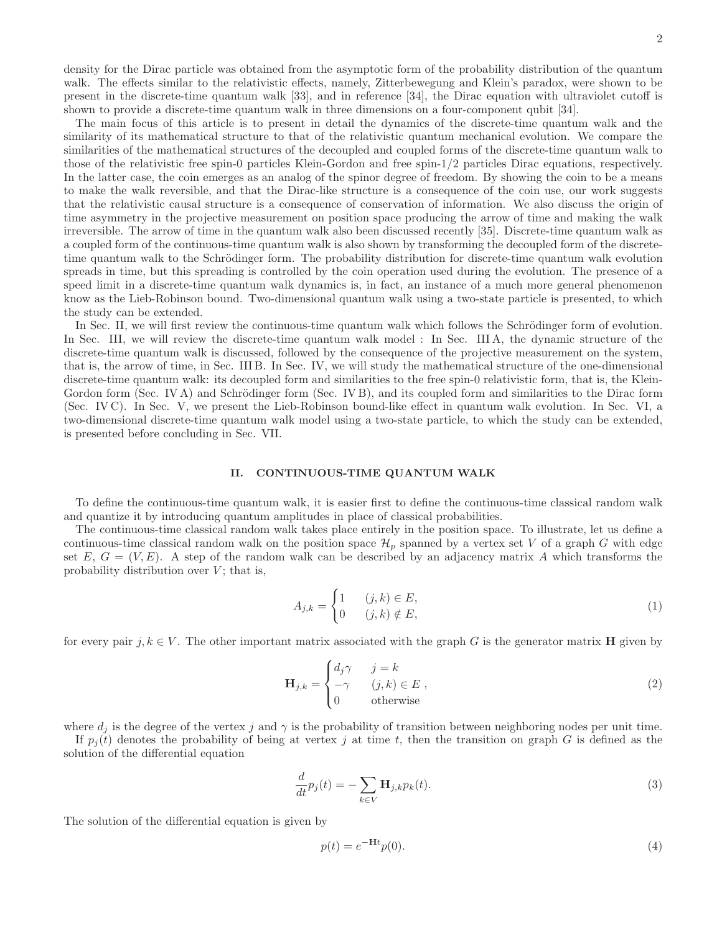density for the Dirac particle was obtained from the asymptotic form of the probability distribution of the quantum walk. The effects similar to the relativistic effects, namely, Zitterbewegung and Klein's paradox, were shown to be present in the discrete-time quantum walk [33], and in reference [34], the Dirac equation with ultraviolet cutoff is shown to provide a discrete-time quantum walk in three dimensions on a four-component qubit [34].

The main focus of this article is to present in detail the dynamics of the discrete-time quantum walk and the similarity of its mathematical structure to that of the relativistic quantum mechanical evolution. We compare the similarities of the mathematical structures of the decoupled and coupled forms of the discrete-time quantum walk to those of the relativistic free spin-0 particles Klein-Gordon and free spin-1/2 particles Dirac equations, respectively. In the latter case, the coin emerges as an analog of the spinor degree of freedom. By showing the coin to be a means to make the walk reversible, and that the Dirac-like structure is a consequence of the coin use, our work suggests that the relativistic causal structure is a consequence of conservation of information. We also discuss the origin of time asymmetry in the projective measurement on position space producing the arrow of time and making the walk irreversible. The arrow of time in the quantum walk also been discussed recently [35]. Discrete-time quantum walk as a coupled form of the continuous-time quantum walk is also shown by transforming the decoupled form of the discretetime quantum walk to the Schrödinger form. The probability distribution for discrete-time quantum walk evolution spreads in time, but this spreading is controlled by the coin operation used during the evolution. The presence of a speed limit in a discrete-time quantum walk dynamics is, in fact, an instance of a much more general phenomenon know as the Lieb-Robinson bound. Two-dimensional quantum walk using a two-state particle is presented, to which the study can be extended.

In Sec. II, we will first review the continuous-time quantum walk which follows the Schrödinger form of evolution. In Sec. III, we will review the discrete-time quantum walk model : In Sec. III A, the dynamic structure of the discrete-time quantum walk is discussed, followed by the consequence of the projective measurement on the system, that is, the arrow of time, in Sec. III B. In Sec. IV, we will study the mathematical structure of the one-dimensional discrete-time quantum walk: its decoupled form and similarities to the free spin-0 relativistic form, that is, the Klein-Gordon form (Sec. IV A) and Schrödinger form (Sec. IV B), and its coupled form and similarities to the Dirac form (Sec. IV C). In Sec. V, we present the Lieb-Robinson bound-like effect in quantum walk evolution. In Sec. VI, a two-dimensional discrete-time quantum walk model using a two-state particle, to which the study can be extended, is presented before concluding in Sec. VII.

## II. CONTINUOUS-TIME QUANTUM WALK

To define the continuous-time quantum walk, it is easier first to define the continuous-time classical random walk and quantize it by introducing quantum amplitudes in place of classical probabilities.

The continuous-time classical random walk takes place entirely in the position space. To illustrate, let us define a continuous-time classical random walk on the position space  $\mathcal{H}_p$  spanned by a vertex set V of a graph G with edge set  $E, G = (V, E)$ . A step of the random walk can be described by an adjacency matrix A which transforms the probability distribution over  $V$ ; that is,

$$
A_{j,k} = \begin{cases} 1 & (j,k) \in E, \\ 0 & (j,k) \notin E, \end{cases} \tag{1}
$$

for every pair j,  $k \in V$ . The other important matrix associated with the graph G is the generator matrix **H** given by

$$
\mathbf{H}_{j,k} = \begin{cases} d_j \gamma & j = k \\ -\gamma & (j,k) \in E \\ 0 & \text{otherwise} \end{cases}
$$
 (2)

where  $d_i$  is the degree of the vertex j and  $\gamma$  is the probability of transition between neighboring nodes per unit time.

If  $p_i(t)$  denotes the probability of being at vertex j at time t, then the transition on graph G is defined as the solution of the differential equation

$$
\frac{d}{dt}p_j(t) = -\sum_{k \in V} \mathbf{H}_{j,k} p_k(t). \tag{3}
$$

The solution of the differential equation is given by

$$
p(t) = e^{-\mathbf{H}t}p(0).
$$
\n<sup>(4)</sup>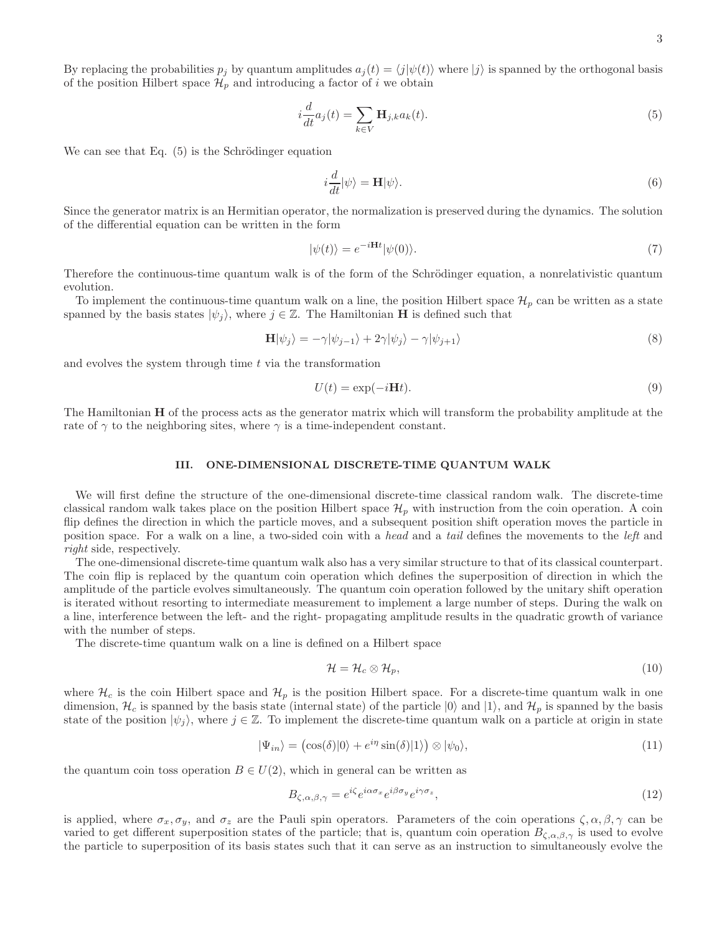By replacing the probabilities  $p_j$  by quantum amplitudes  $a_j(t) = \langle j|\psi(t)\rangle$  where  $|j\rangle$  is spanned by the orthogonal basis of the position Hilbert space  $\mathcal{H}_p$  and introducing a factor of i we obtain

$$
i\frac{d}{dt}a_j(t) = \sum_{k \in V} \mathbf{H}_{j,k}a_k(t).
$$
\n(5)

We can see that Eq.  $(5)$  is the Schrödinger equation

$$
i\frac{d}{dt}|\psi\rangle = \mathbf{H}|\psi\rangle.
$$
 (6)

Since the generator matrix is an Hermitian operator, the normalization is preserved during the dynamics. The solution of the differential equation can be written in the form

$$
|\psi(t)\rangle = e^{-i\mathbf{H}t}|\psi(0)\rangle.
$$
 (7)

Therefore the continuous-time quantum walk is of the form of the Schrödinger equation, a nonrelativistic quantum evolution.

To implement the continuous-time quantum walk on a line, the position Hilbert space  $\mathcal{H}_p$  can be written as a state spanned by the basis states  $|\psi_i\rangle$ , where  $j \in \mathbb{Z}$ . The Hamiltonian H is defined such that

$$
\mathbf{H}|\psi_j\rangle = -\gamma|\psi_{j-1}\rangle + 2\gamma|\psi_j\rangle - \gamma|\psi_{j+1}\rangle\tag{8}
$$

and evolves the system through time  $t$  via the transformation

$$
U(t) = \exp(-i\mathbf{H}t). \tag{9}
$$

The Hamiltonian H of the process acts as the generator matrix which will transform the probability amplitude at the rate of  $\gamma$  to the neighboring sites, where  $\gamma$  is a time-independent constant.

## III. ONE-DIMENSIONAL DISCRETE-TIME QUANTUM WALK

We will first define the structure of the one-dimensional discrete-time classical random walk. The discrete-time classical random walk takes place on the position Hilbert space  $\mathcal{H}_p$  with instruction from the coin operation. A coin flip defines the direction in which the particle moves, and a subsequent position shift operation moves the particle in position space. For a walk on a line, a two-sided coin with a head and a tail defines the movements to the left and right side, respectively.

The one-dimensional discrete-time quantum walk also has a very similar structure to that of its classical counterpart. The coin flip is replaced by the quantum coin operation which defines the superposition of direction in which the amplitude of the particle evolves simultaneously. The quantum coin operation followed by the unitary shift operation is iterated without resorting to intermediate measurement to implement a large number of steps. During the walk on a line, interference between the left- and the right- propagating amplitude results in the quadratic growth of variance with the number of steps.

The discrete-time quantum walk on a line is defined on a Hilbert space

$$
\mathcal{H} = \mathcal{H}_c \otimes \mathcal{H}_p,\tag{10}
$$

where  $\mathcal{H}_c$  is the coin Hilbert space and  $\mathcal{H}_p$  is the position Hilbert space. For a discrete-time quantum walk in one dimension,  $\mathcal{H}_c$  is spanned by the basis state (internal state) of the particle  $|0\rangle$  and  $|1\rangle$ , and  $\mathcal{H}_p$  is spanned by the basis state of the position  $|\psi_i\rangle$ , where  $j \in \mathbb{Z}$ . To implement the discrete-time quantum walk on a particle at origin in state

$$
|\Psi_{in}\rangle = (\cos(\delta)|0\rangle + e^{i\eta}\sin(\delta)|1\rangle) \otimes |\psi_0\rangle, \qquad (11)
$$

the quantum coin toss operation  $B \in U(2)$ , which in general can be written as

$$
B_{\zeta,\alpha,\beta,\gamma} = e^{i\zeta} e^{i\alpha\sigma_x} e^{i\beta\sigma_y} e^{i\gamma\sigma_z},\tag{12}
$$

is applied, where  $\sigma_x, \sigma_y$ , and  $\sigma_z$  are the Pauli spin operators. Parameters of the coin operations  $\zeta, \alpha, \beta, \gamma$  can be varied to get different superposition states of the particle; that is, quantum coin operation  $B_{\zeta,\alpha,\beta,\gamma}$  is used to evolve the particle to superposition of its basis states such that it can serve as an instruction to simultaneously evolve the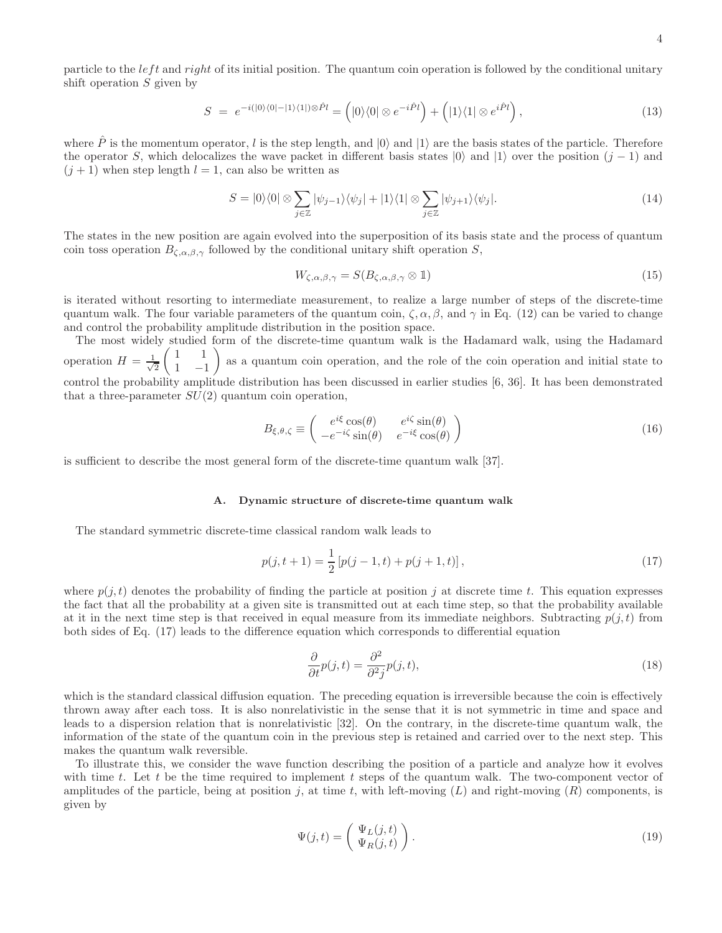particle to the *left* and right of its initial position. The quantum coin operation is followed by the conditional unitary shift operation  $S$  given by

$$
S = e^{-i(|0\rangle\langle 0| - |1\rangle\langle 1|)\otimes \hat{P}l} = (|0\rangle\langle 0| \otimes e^{-i\hat{P}l}) + (|1\rangle\langle 1| \otimes e^{i\hat{P}l}), \qquad (13)
$$

where  $\hat{P}$  is the momentum operator, l is the step length, and  $|0\rangle$  and  $|1\rangle$  are the basis states of the particle. Therefore the operator S, which delocalizes the wave packet in different basis states  $|0\rangle$  and  $|1\rangle$  over the position  $(j-1)$  and  $(j + 1)$  when step length  $l = 1$ , can also be written as

$$
S = |0\rangle\langle 0| \otimes \sum_{j \in \mathbb{Z}} |\psi_{j-1}\rangle\langle \psi_j| + |1\rangle\langle 1| \otimes \sum_{j \in \mathbb{Z}} |\psi_{j+1}\rangle\langle \psi_j|.
$$
 (14)

The states in the new position are again evolved into the superposition of its basis state and the process of quantum coin toss operation  $B_{\zeta,\alpha,\beta,\gamma}$  followed by the conditional unitary shift operation S,

$$
W_{\zeta,\alpha,\beta,\gamma} = S(B_{\zeta,\alpha,\beta,\gamma} \otimes 1) \tag{15}
$$

is iterated without resorting to intermediate measurement, to realize a large number of steps of the discrete-time quantum walk. The four variable parameters of the quantum coin,  $\zeta$ ,  $\alpha$ ,  $\beta$ , and  $\gamma$  in Eq. (12) can be varied to change and control the probability amplitude distribution in the position space.

The most widely studied form of the discrete-time quantum walk is the Hadamard walk, using the Hadamard operation  $H = \frac{1}{\sqrt{2}}$ 2  $(1 \ 1$  $1 -1$  as a quantum coin operation, and the role of the coin operation and initial state to control the probability amplitude distribution has been discussed in earlier studies [6, 36]. It has been demonstrated that a three-parameter  $SU(2)$  quantum coin operation,

$$
B_{\xi,\theta,\zeta} \equiv \begin{pmatrix} e^{i\xi}\cos(\theta) & e^{i\zeta}\sin(\theta) \\ -e^{-i\zeta}\sin(\theta) & e^{-i\xi}\cos(\theta) \end{pmatrix}
$$
 (16)

is sufficient to describe the most general form of the discrete-time quantum walk [37].

#### A. Dynamic structure of discrete-time quantum walk

The standard symmetric discrete-time classical random walk leads to

$$
p(j, t+1) = \frac{1}{2} \left[ p(j-1, t) + p(j+1, t) \right],\tag{17}
$$

where  $p(i, t)$  denotes the probability of finding the particle at position j at discrete time t. This equation expresses the fact that all the probability at a given site is transmitted out at each time step, so that the probability available at it in the next time step is that received in equal measure from its immediate neighbors. Subtracting  $p(j, t)$  from both sides of Eq. (17) leads to the difference equation which corresponds to differential equation

$$
\frac{\partial}{\partial t}p(j,t) = \frac{\partial^2}{\partial^2 j}p(j,t),\tag{18}
$$

which is the standard classical diffusion equation. The preceding equation is irreversible because the coin is effectively thrown away after each toss. It is also nonrelativistic in the sense that it is not symmetric in time and space and leads to a dispersion relation that is nonrelativistic [32]. On the contrary, in the discrete-time quantum walk, the information of the state of the quantum coin in the previous step is retained and carried over to the next step. This makes the quantum walk reversible.

To illustrate this, we consider the wave function describing the position of a particle and analyze how it evolves with time t. Let t be the time required to implement t steps of the quantum walk. The two-component vector of amplitudes of the particle, being at position j, at time t, with left-moving  $(L)$  and right-moving  $(R)$  components, is given by

$$
\Psi(j,t) = \begin{pmatrix} \Psi_L(j,t) \\ \Psi_R(j,t) \end{pmatrix} . \tag{19}
$$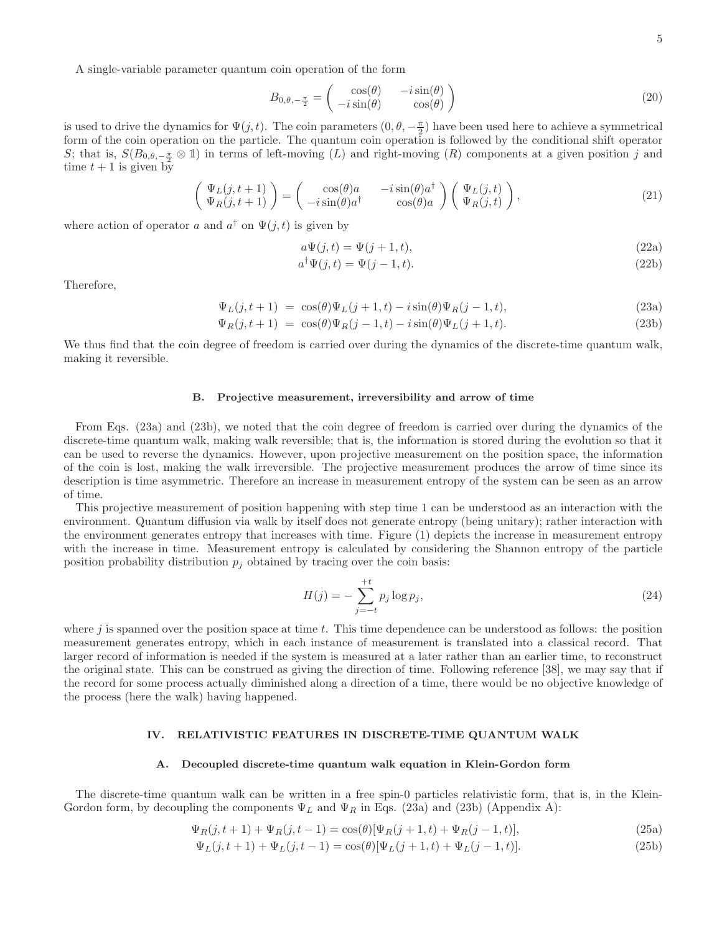A single-variable parameter quantum coin operation of the form

$$
B_{0,\theta,-\frac{\pi}{2}} = \begin{pmatrix} \cos(\theta) & -i\sin(\theta) \\ -i\sin(\theta) & \cos(\theta) \end{pmatrix}
$$
 (20)

is used to drive the dynamics for  $\Psi(j, t)$ . The coin parameters  $(0, \theta, -\frac{\pi}{2})$  have been used here to achieve a symmetrical form of the coin operation on the particle. The quantum coin operation is followed by the conditional shift operator S; that is,  $S(B_{0,\theta,-\frac{\pi}{2}} \otimes \mathbb{1})$  in terms of left-moving  $(L)$  and right-moving  $(R)$  components at a given position j and time  $t + 1$  is given by

$$
\begin{pmatrix}\n\Psi_L(j, t+1) \\
\Psi_R(j, t+1)\n\end{pmatrix} = \begin{pmatrix}\n\cos(\theta)a & -i\sin(\theta)a^\dagger \\
-i\sin(\theta)a^\dagger & \cos(\theta)a\n\end{pmatrix} \begin{pmatrix}\n\Psi_L(j, t) \\
\Psi_R(j, t)\n\end{pmatrix},
$$
\n(21)

where action of operator a and  $a^{\dagger}$  on  $\Psi(j, t)$  is given by

$$
a\Psi(j,t) = \Psi(j+1,t),\tag{22a}
$$

$$
a^{\dagger} \Psi(j, t) = \Psi(j - 1, t). \tag{22b}
$$

Therefore,

$$
\Psi_L(j, t+1) = \cos(\theta)\Psi_L(j+1, t) - i\sin(\theta)\Psi_R(j-1, t), \tag{23a}
$$

$$
\Psi_R(j, t+1) = \cos(\theta)\Psi_R(j-1, t) - i\sin(\theta)\Psi_L(j+1, t).
$$
\n(23b)

We thus find that the coin degree of freedom is carried over during the dynamics of the discrete-time quantum walk, making it reversible.

#### B. Projective measurement, irreversibility and arrow of time

From Eqs. (23a) and (23b), we noted that the coin degree of freedom is carried over during the dynamics of the discrete-time quantum walk, making walk reversible; that is, the information is stored during the evolution so that it can be used to reverse the dynamics. However, upon projective measurement on the position space, the information of the coin is lost, making the walk irreversible. The projective measurement produces the arrow of time since its description is time asymmetric. Therefore an increase in measurement entropy of the system can be seen as an arrow of time.

This projective measurement of position happening with step time 1 can be understood as an interaction with the environment. Quantum diffusion via walk by itself does not generate entropy (being unitary); rather interaction with the environment generates entropy that increases with time. Figure (1) depicts the increase in measurement entropy with the increase in time. Measurement entropy is calculated by considering the Shannon entropy of the particle position probability distribution  $p_i$  obtained by tracing over the coin basis:

$$
H(j) = -\sum_{j=-t}^{+t} p_j \log p_j,
$$
\n(24)

where  $j$  is spanned over the position space at time  $t$ . This time dependence can be understood as follows: the position measurement generates entropy, which in each instance of measurement is translated into a classical record. That larger record of information is needed if the system is measured at a later rather than an earlier time, to reconstruct the original state. This can be construed as giving the direction of time. Following reference [38], we may say that if the record for some process actually diminished along a direction of a time, there would be no objective knowledge of the process (here the walk) having happened.

# IV. RELATIVISTIC FEATURES IN DISCRETE-TIME QUANTUM WALK

#### A. Decoupled discrete-time quantum walk equation in Klein-Gordon form

The discrete-time quantum walk can be written in a free spin-0 particles relativistic form, that is, in the Klein-Gordon form, by decoupling the components  $\Psi_L$  and  $\Psi_R$  in Eqs. (23a) and (23b) (Appendix A):

$$
\Psi_R(j, t+1) + \Psi_R(j, t-1) = \cos(\theta) [\Psi_R(j+1, t) + \Psi_R(j-1, t)],
$$
\n(25a)

$$
\Psi_L(j, t+1) + \Psi_L(j, t-1) = \cos(\theta)[\Psi_L(j+1, t) + \Psi_L(j-1, t)].
$$
\n(25b)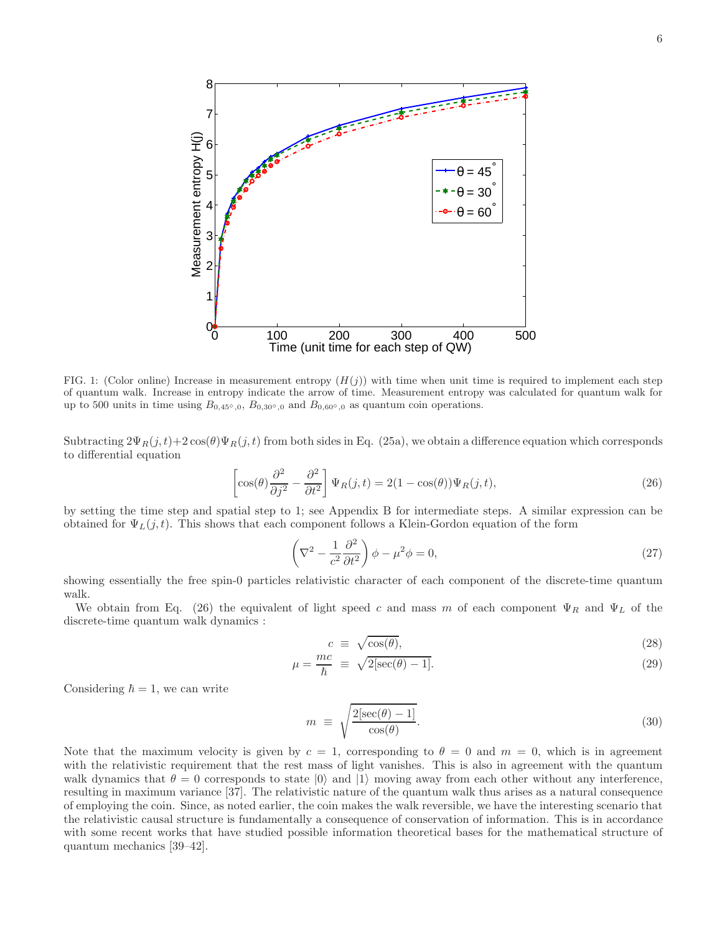

FIG. 1: (Color online) Increase in measurement entropy  $(H(j))$  with time when unit time is required to implement each step of quantum walk. Increase in entropy indicate the arrow of time. Measurement entropy was calculated for quantum walk for up to 500 units in time using  $B_{0,45°,0}$ ,  $B_{0,30°,0}$  and  $B_{0,60°,0}$  as quantum coin operations.

Subtracting  $2\Psi_R(j, t)+2\cos(\theta)\Psi_R(j, t)$  from both sides in Eq. (25a), we obtain a difference equation which corresponds to differential equation

$$
\left[\cos(\theta)\frac{\partial^2}{\partial j^2} - \frac{\partial^2}{\partial t^2}\right]\Psi_R(j,t) = 2(1 - \cos(\theta))\Psi_R(j,t),\tag{26}
$$

by setting the time step and spatial step to 1; see Appendix B for intermediate steps. A similar expression can be obtained for  $\Psi_L(j,t)$ . This shows that each component follows a Klein-Gordon equation of the form

$$
\left(\nabla^2 - \frac{1}{c^2} \frac{\partial^2}{\partial t^2}\right)\phi - \mu^2 \phi = 0,\tag{27}
$$

showing essentially the free spin-0 particles relativistic character of each component of the discrete-time quantum walk.

We obtain from Eq. (26) the equivalent of light speed c and mass m of each component  $\Psi_R$  and  $\Psi_L$  of the discrete-time quantum walk dynamics :

$$
c \equiv \sqrt{\cos(\theta)},\tag{28}
$$

$$
\mu = \frac{mc}{\hbar} \equiv \sqrt{2[\sec(\theta) - 1]}.
$$
\n(29)

Considering  $\hbar = 1$ , we can write

$$
m \equiv \sqrt{\frac{2[\sec(\theta) - 1]}{\cos(\theta)}}.
$$
\n(30)

Note that the maximum velocity is given by  $c = 1$ , corresponding to  $\theta = 0$  and  $m = 0$ , which is in agreement with the relativistic requirement that the rest mass of light vanishes. This is also in agreement with the quantum walk dynamics that  $\theta = 0$  corresponds to state  $|0\rangle$  and  $|1\rangle$  moving away from each other without any interference, resulting in maximum variance [37]. The relativistic nature of the quantum walk thus arises as a natural consequence of employing the coin. Since, as noted earlier, the coin makes the walk reversible, we have the interesting scenario that the relativistic causal structure is fundamentally a consequence of conservation of information. This is in accordance with some recent works that have studied possible information theoretical bases for the mathematical structure of quantum mechanics [39–42].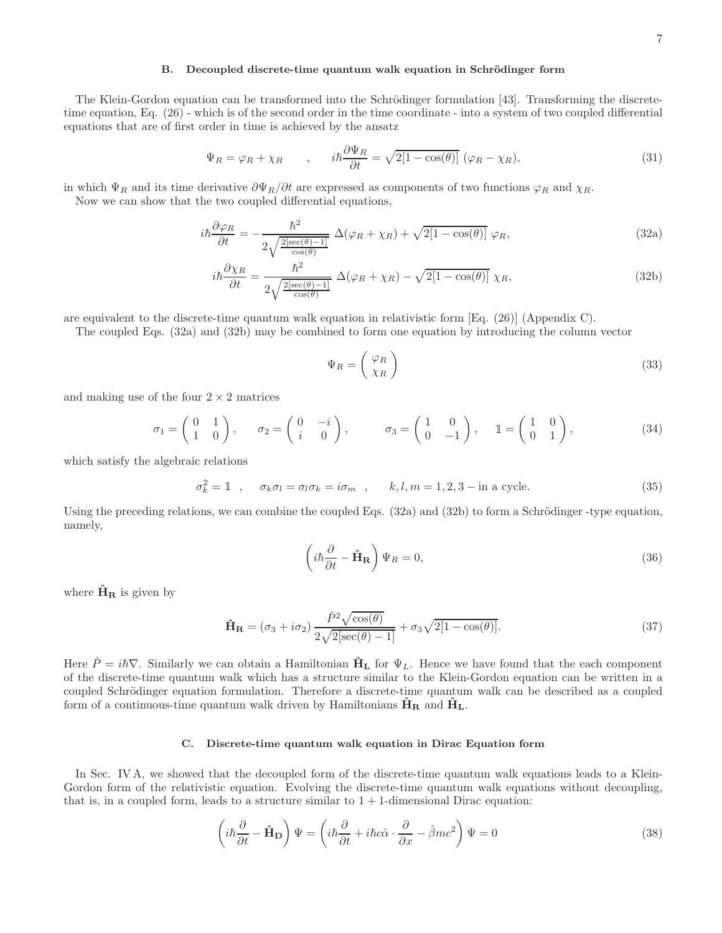# B. Decoupled discrete-time quantum walk equation in Schrödinger form

The Klein-Gordon equation can be transformed into the Schrödinger formulation [43]. Transforming the discretetime equation, Eq. (26) - which is of the second order in the time coordinate - into a system of two coupled differential equations that are of first order in time is achieved by the ansatz

$$
\Psi_R = \varphi_R + \chi_R \qquad , \qquad i\hbar \frac{\partial \Psi_R}{\partial t} = \sqrt{2[1 - \cos(\theta)]} \; (\varphi_R - \chi_R), \tag{31}
$$

in which  $\Psi_R$  and its time derivative  $\partial \Psi_R/\partial t$  are expressed as components of two functions  $\varphi_R$  and  $\chi_R$ .

Now we can show that the two coupled differential equations,

$$
i\hbar \frac{\partial \varphi_R}{\partial t} = -\frac{\hbar^2}{2\sqrt{\frac{2[\sec(\theta) - 1]}{\cos(\theta)}}} \Delta(\varphi_R + \chi_R) + \sqrt{2[1 - \cos(\theta)]} \varphi_R,
$$
\n(32a)

$$
i\hbar \frac{\partial \chi_R}{\partial t} = \frac{\hbar^2}{2\sqrt{\frac{2[\sec(\theta) - 1]}{\cos(\theta)}}} \Delta(\varphi_R + \chi_R) - \sqrt{2[1 - \cos(\theta)]} \chi_R,
$$
\n(32b)

are equivalent to the discrete-time quantum walk equation in relativistic form [Eq. (26)] (Appendix C).

The coupled Eqs. (32a) and (32b) may be combined to form one equation by introducing the column vector

$$
\Psi_R = \begin{pmatrix} \varphi_R \\ \chi_R \end{pmatrix} \tag{33}
$$

and making use of the four  $2 \times 2$  matrices

$$
\sigma_1 = \begin{pmatrix} 0 & 1 \\ 1 & 0 \end{pmatrix}, \quad \sigma_2 = \begin{pmatrix} 0 & -i \\ i & 0 \end{pmatrix}, \quad \sigma_3 = \begin{pmatrix} 1 & 0 \\ 0 & -1 \end{pmatrix}, \quad 1 = \begin{pmatrix} 1 & 0 \\ 0 & 1 \end{pmatrix}, \tag{34}
$$

which satisfy the algebraic relations

$$
\sigma_k^2 = \mathbb{1} \quad , \quad \sigma_k \sigma_l = \sigma_l \sigma_k = i \sigma_m \quad , \quad k, l, m = 1, 2, 3 - \text{in a cycle.} \tag{35}
$$

Using the preceding relations, we can combine the coupled Eqs.  $(32a)$  and  $(32b)$  to form a Schrödinger-type equation, namely,

$$
\left(i\hbar\frac{\partial}{\partial t} - \hat{H}_{\mathbf{R}}\right)\Psi_R = 0,\tag{36}
$$

where  $\hat{H}_R$  is given by

$$
\hat{\mathbf{H}}_{\mathbf{R}} = (\sigma_3 + i\sigma_2) \frac{\hat{P}^2 \sqrt{\cos(\theta)}}{2\sqrt{2[\sec(\theta) - 1]}} + \sigma_3 \sqrt{2[1 - \cos(\theta)]}. \tag{37}
$$

Here  $\hat{P} = i\hbar \nabla$ . Similarly we can obtain a Hamiltonian  $\hat{H}_L$  for  $\Psi_L$ . Hence we have found that the each component of the discrete-time quantum walk which has a structure similar to the Klein-Gordon equation can be written in a coupled Schrödinger equation formulation. Therefore a discrete-time quantum walk can be described as a coupled form of a continuous-time quantum walk driven by Hamiltonians  $H_R$  and  $H_L$ .

# C. Discrete-time quantum walk equation in Dirac Equation form

In Sec. IV A, we showed that the decoupled form of the discrete-time quantum walk equations leads to a Klein-Gordon form of the relativistic equation. Evolving the discrete-time quantum walk equations without decoupling, that is, in a coupled form, leads to a structure similar to  $1 + 1$ -dimensional Dirac equation:

$$
\left(i\hbar\frac{\partial}{\partial t} - \hat{H}_{D}\right)\Psi = \left(i\hbar\frac{\partial}{\partial t} + i\hbar c\hat{\alpha}\cdot\frac{\partial}{\partial x} - \hat{\beta}mc^{2}\right)\Psi = 0
$$
\n(38)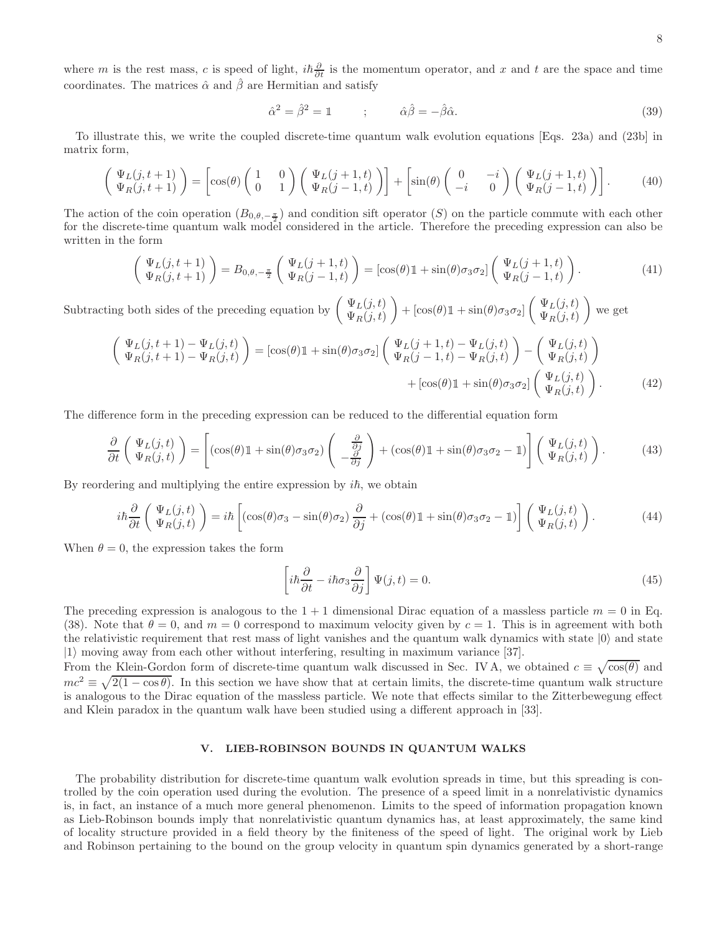where m is the rest mass, c is speed of light,  $i\hbar\frac{\partial}{\partial t}$  is the momentum operator, and x and t are the space and time coordinates. The matrices  $\hat{\alpha}$  and  $\hat{\beta}$  are Hermitian and satisfy

$$
\hat{\alpha}^2 = \hat{\beta}^2 = 1 \qquad ; \qquad \hat{\alpha}\hat{\beta} = -\hat{\beta}\hat{\alpha}.\tag{39}
$$

To illustrate this, we write the coupled discrete-time quantum walk evolution equations [Eqs. 23a) and (23b] in matrix form,

$$
\begin{pmatrix} \Psi_L(j,t+1) \\ \Psi_R(j,t+1) \end{pmatrix} = \begin{bmatrix} \cos(\theta) \begin{pmatrix} 1 & 0 \\ 0 & 1 \end{pmatrix} \begin{pmatrix} \Psi_L(j+1,t) \\ \Psi_R(j-1,t) \end{pmatrix} + \begin{bmatrix} \sin(\theta) \begin{pmatrix} 0 & -i \\ -i & 0 \end{pmatrix} \begin{pmatrix} \Psi_L(j+1,t) \\ \Psi_R(j-1,t) \end{pmatrix} \end{pmatrix}.
$$
 (40)

The action of the coin operation  $(B_{0,\theta,-\frac{\pi}{2}})$  and condition sift operator (S) on the particle commute with each other for the discrete-time quantum walk model considered in the article. Therefore the preceding expression can also be written in the form

$$
\begin{pmatrix}\n\Psi_L(j,t+1) \\
\Psi_R(j,t+1)\n\end{pmatrix} = B_{0,\theta,-\frac{\pi}{2}} \begin{pmatrix}\n\Psi_L(j+1,t) \\
\Psi_R(j-1,t)\n\end{pmatrix} = \left[\cos(\theta)\mathbb{1} + \sin(\theta)\sigma_3\sigma_2\right] \begin{pmatrix}\n\Psi_L(j+1,t) \\
\Psi_R(j-1,t)\n\end{pmatrix}.
$$
\n(41)

Subtracting both sides of the preceding equation by  $\begin{pmatrix} \Psi_L(j,t) \\ \Psi_L(j,t) \end{pmatrix}$  $\Psi_R(j,t)$  $\bigg\rangle + \left[\cos(\theta)\mathbb{1} + \sin(\theta)\sigma_3\sigma_2\right] \left(\begin{array}{c} \Psi_L(j,t) \\ \Psi_L(j,t) \end{array}\right)$  $\Psi_R(j,t)$ we get

$$
\begin{pmatrix}\n\Psi_L(j, t+1) - \Psi_L(j, t) \\
\Psi_R(j, t+1) - \Psi_R(j, t)\n\end{pmatrix} = [\cos(\theta)\mathbb{1} + \sin(\theta)\sigma_3\sigma_2] \begin{pmatrix}\n\Psi_L(j+1, t) - \Psi_L(j, t) \\
\Psi_R(j-1, t) - \Psi_R(j, t)\n\end{pmatrix} - \begin{pmatrix}\n\Psi_L(j, t) \\
\Psi_R(j, t)\n\end{pmatrix} + [\cos(\theta)\mathbb{1} + \sin(\theta)\sigma_3\sigma_2] \begin{pmatrix}\n\Psi_L(j, t) \\
\Psi_R(j, t)\n\end{pmatrix}.
$$
\n(42)

The difference form in the preceding expression can be reduced to the differential equation form

$$
\frac{\partial}{\partial t} \left( \Psi_L(j, t) \over \Psi_R(j, t) \right) = \left[ (\cos(\theta) \mathbb{1} + \sin(\theta) \sigma_3 \sigma_2) \left( \frac{\partial}{\partial j} \right) + (\cos(\theta) \mathbb{1} + \sin(\theta) \sigma_3 \sigma_2 - \mathbb{1}) \right] \left( \Psi_L(j, t) \over \Psi_R(j, t) \right). \tag{43}
$$

By reordering and multiplying the entire expression by  $i\hbar$ , we obtain

$$
i\hbar \frac{\partial}{\partial t} \left( \Psi_L(j, t) \atop \Psi_R(j, t) \right) = i\hbar \left[ (\cos(\theta)\sigma_3 - \sin(\theta)\sigma_2) \frac{\partial}{\partial j} + (\cos(\theta)\mathbb{1} + \sin(\theta)\sigma_3\sigma_2 - \mathbb{1}) \right] \left( \Psi_L(j, t) \atop \Psi_R(j, t) \right). \tag{44}
$$

When  $\theta = 0$ , the expression takes the form

$$
\left[i\hbar\frac{\partial}{\partial t} - i\hbar\sigma_3\frac{\partial}{\partial j}\right]\Psi(j,t) = 0.
$$
\n(45)

The preceding expression is analogous to the  $1+1$  dimensional Dirac equation of a massless particle  $m = 0$  in Eq. (38). Note that  $\theta = 0$ , and  $m = 0$  correspond to maximum velocity given by  $c = 1$ . This is in agreement with both the relativistic requirement that rest mass of light vanishes and the quantum walk dynamics with state  $|0\rangle$  and state  $|1\rangle$  moving away from each other without interfering, resulting in maximum variance [37].

From the Klein-Gordon form of discrete-time quantum walk discussed in Sec. IV A, we obtained  $c \equiv \sqrt{\cos(\theta)}$  and  $mc^2 \equiv \sqrt{2(1-\cos\theta)}$ . In this section we have show that at certain limits, the discrete-time quantum walk structure is analogous to the Dirac equation of the massless particle. We note that effects similar to the Zitterbewegung effect and Klein paradox in the quantum walk have been studied using a different approach in [33].

#### V. LIEB-ROBINSON BOUNDS IN QUANTUM WALKS

The probability distribution for discrete-time quantum walk evolution spreads in time, but this spreading is controlled by the coin operation used during the evolution. The presence of a speed limit in a nonrelativistic dynamics is, in fact, an instance of a much more general phenomenon. Limits to the speed of information propagation known as Lieb-Robinson bounds imply that nonrelativistic quantum dynamics has, at least approximately, the same kind of locality structure provided in a field theory by the finiteness of the speed of light. The original work by Lieb and Robinson pertaining to the bound on the group velocity in quantum spin dynamics generated by a short-range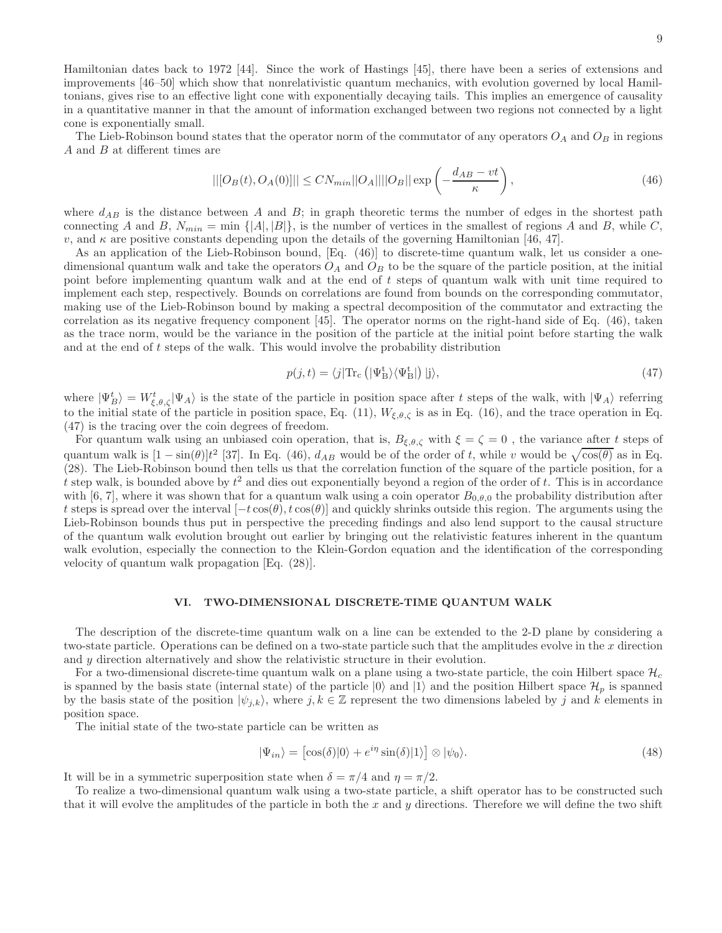Hamiltonian dates back to 1972 [44]. Since the work of Hastings [45], there have been a series of extensions and improvements [46–50] which show that nonrelativistic quantum mechanics, with evolution governed by local Hamiltonians, gives rise to an effective light cone with exponentially decaying tails. This implies an emergence of causality in a quantitative manner in that the amount of information exchanged between two regions not connected by a light cone is exponentially small.

The Lieb-Robinson bound states that the operator norm of the commutator of any operators  $O_A$  and  $O_B$  in regions  $A$  and  $B$  at different times are

$$
||[O_B(t), O_A(0)]|| \leq CN_{min} ||O_A|| ||O_B|| \exp\left(-\frac{d_{AB} - vt}{\kappa}\right),\tag{46}
$$

where  $d_{AB}$  is the distance between A and B; in graph theoretic terms the number of edges in the shortest path connecting A and B,  $N_{min} = \min \{ |A|, |B| \}$ , is the number of vertices in the smallest of regions A and B, while C, v, and  $\kappa$  are positive constants depending upon the details of the governing Hamiltonian [46, 47].

As an application of the Lieb-Robinson bound, [Eq. (46)] to discrete-time quantum walk, let us consider a onedimensional quantum walk and take the operators  $O_A$  and  $O_B$  to be the square of the particle position, at the initial point before implementing quantum walk and at the end of t steps of quantum walk with unit time required to implement each step, respectively. Bounds on correlations are found from bounds on the corresponding commutator, making use of the Lieb-Robinson bound by making a spectral decomposition of the commutator and extracting the correlation as its negative frequency component [45]. The operator norms on the right-hand side of Eq. (46), taken as the trace norm, would be the variance in the position of the particle at the initial point before starting the walk and at the end of t steps of the walk. This would involve the probability distribution

$$
p(j,t) = \langle j | \text{Tr}_{\text{c}} \left( |\Psi_{\text{B}}^{\text{t}} \rangle \langle \Psi_{\text{B}}^{\text{t}} | \right) | j \rangle, \tag{47}
$$

where  $|\Psi_B^t\rangle = W_{\xi,\theta,\zeta}^t |\Psi_A\rangle$  is the state of the particle in position space after t steps of the walk, with  $|\Psi_A\rangle$  referring to the initial state of the particle in position space, Eq. (11),  $W_{\xi,\theta,\zeta}$  is as in Eq. (16), and the trace operation in Eq. (47) is the tracing over the coin degrees of freedom.

For quantum walk using an unbiased coin operation, that is,  $B_{\xi,\theta,\zeta}$  with  $\xi = \zeta = 0$ , the variance after t steps of quantum walk is  $[1 - \sin(\theta)]t^2$  [37]. In Eq. (46),  $d_{AB}$  would be of the order of t, while v would be  $\sqrt{\cos(\theta)}$  as in Eq. (28). The Lieb-Robinson bound then tells us that the correlation function of the square of the particle position, for a t step walk, is bounded above by  $t^2$  and dies out exponentially beyond a region of the order of t. This is in accordance with [6, 7], where it was shown that for a quantum walk using a coin operator  $B_{0,\theta,0}$  the probability distribution after t steps is spread over the interval  $[-t\cos(\theta), t\cos(\theta)]$  and quickly shrinks outside this region. The arguments using the Lieb-Robinson bounds thus put in perspective the preceding findings and also lend support to the causal structure of the quantum walk evolution brought out earlier by bringing out the relativistic features inherent in the quantum walk evolution, especially the connection to the Klein-Gordon equation and the identification of the corresponding velocity of quantum walk propagation [Eq. (28)].

## VI. TWO-DIMENSIONAL DISCRETE-TIME QUANTUM WALK

The description of the discrete-time quantum walk on a line can be extended to the 2-D plane by considering a two-state particle. Operations can be defined on a two-state particle such that the amplitudes evolve in the  $x$  direction and y direction alternatively and show the relativistic structure in their evolution.

For a two-dimensional discrete-time quantum walk on a plane using a two-state particle, the coin Hilbert space  $\mathcal{H}_c$ is spanned by the basis state (internal state) of the particle  $|0\rangle$  and  $|1\rangle$  and the position Hilbert space  $\mathcal{H}_p$  is spanned by the basis state of the position  $|\psi_{j,k}\rangle$ , where  $j, k \in \mathbb{Z}$  represent the two dimensions labeled by j and k elements in position space.

The initial state of the two-state particle can be written as

$$
|\Psi_{in}\rangle = [\cos(\delta)|0\rangle + e^{i\eta}\sin(\delta)|1\rangle] \otimes |\psi_0\rangle.
$$
 (48)

It will be in a symmetric superposition state when  $\delta = \pi/4$  and  $\eta = \pi/2$ .

To realize a two-dimensional quantum walk using a two-state particle, a shift operator has to be constructed such that it will evolve the amplitudes of the particle in both the x and y directions. Therefore we will define the two shift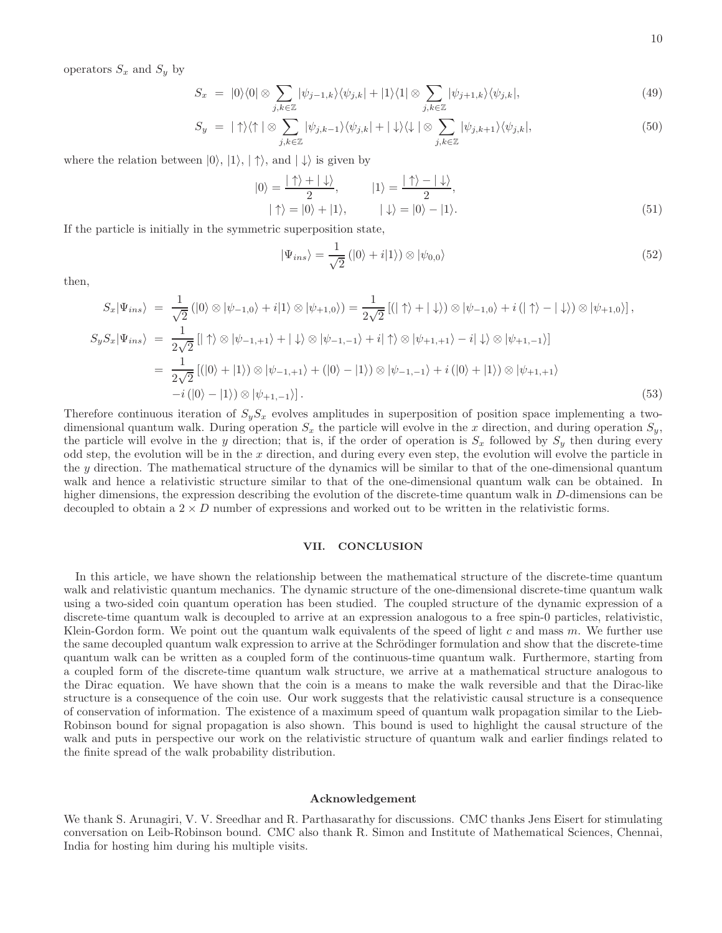operators  $S_x$  and  $S_y$  by

$$
S_x = |0\rangle\langle 0| \otimes \sum_{j,k \in \mathbb{Z}} |\psi_{j-1,k}\rangle\langle\psi_{j,k}| + |1\rangle\langle 1| \otimes \sum_{j,k \in \mathbb{Z}} |\psi_{j+1,k}\rangle\langle\psi_{j,k}|,\tag{49}
$$

$$
S_y = |\uparrow\rangle\langle\uparrow| \otimes \sum_{j,k\in\mathbb{Z}} |\psi_{j,k-1}\rangle\langle\psi_{j,k}| + |\downarrow\rangle\langle\downarrow| \otimes \sum_{j,k\in\mathbb{Z}} |\psi_{j,k+1}\rangle\langle\psi_{j,k}|,\tag{50}
$$

where the relation between  $|0\rangle, |1\rangle, |\uparrow\rangle$ , and  $|\downarrow\rangle$  is given by

$$
|0\rangle = \frac{|\uparrow\rangle + |\downarrow\rangle}{2}, \qquad |1\rangle = \frac{|\uparrow\rangle - |\downarrow\rangle}{2}, | \uparrow\rangle = |0\rangle + |1\rangle, \qquad |\downarrow\rangle = |0\rangle - |1\rangle.
$$
 (51)

If the particle is initially in the symmetric superposition state,

$$
|\Psi_{ins}\rangle = \frac{1}{\sqrt{2}} (|0\rangle + i|1\rangle) \otimes |\psi_{0,0}\rangle
$$
 (52)

then,

$$
S_x|\Psi_{ins}\rangle = \frac{1}{\sqrt{2}} (|0\rangle \otimes |\psi_{-1,0}\rangle + i|1\rangle \otimes |\psi_{+1,0}\rangle) = \frac{1}{2\sqrt{2}} [(| \uparrow \rangle + | \downarrow \rangle) \otimes |\psi_{-1,0}\rangle + i (| \uparrow \rangle - | \downarrow \rangle) \otimes |\psi_{+1,0}\rangle],
$$
  
\n
$$
S_y S_x|\Psi_{ins}\rangle = \frac{1}{2\sqrt{2}} [| \uparrow \rangle \otimes |\psi_{-1,+1}\rangle + | \downarrow \rangle \otimes |\psi_{-1,-1}\rangle + i| \uparrow \rangle \otimes |\psi_{+1,+1}\rangle - i| \downarrow \rangle \otimes |\psi_{+1,-1}\rangle]
$$
  
\n
$$
= \frac{1}{2\sqrt{2}} [(|0\rangle + |1\rangle) \otimes |\psi_{-1,+1}\rangle + (|0\rangle - |1\rangle) \otimes |\psi_{-1,-1}\rangle + i (|0\rangle + |1\rangle) \otimes |\psi_{+1,+1}\rangle
$$
  
\n
$$
-i (|0\rangle - |1\rangle) \otimes |\psi_{+1,-1}\rangle]. \tag{53}
$$

Therefore continuous iteration of  $S_yS_x$  evolves amplitudes in superposition of position space implementing a twodimensional quantum walk. During operation  $S_x$  the particle will evolve in the x direction, and during operation  $S_y$ , the particle will evolve in the y direction; that is, if the order of operation is  $S_x$  followed by  $S_y$  then during every odd step, the evolution will be in the  $x$  direction, and during every even step, the evolution will evolve the particle in the  $y$  direction. The mathematical structure of the dynamics will be similar to that of the one-dimensional quantum walk and hence a relativistic structure similar to that of the one-dimensional quantum walk can be obtained. In higher dimensions, the expression describing the evolution of the discrete-time quantum walk in D-dimensions can be decoupled to obtain a  $2 \times D$  number of expressions and worked out to be written in the relativistic forms.

#### VII. CONCLUSION

In this article, we have shown the relationship between the mathematical structure of the discrete-time quantum walk and relativistic quantum mechanics. The dynamic structure of the one-dimensional discrete-time quantum walk using a two-sided coin quantum operation has been studied. The coupled structure of the dynamic expression of a discrete-time quantum walk is decoupled to arrive at an expression analogous to a free spin-0 particles, relativistic, Klein-Gordon form. We point out the quantum walk equivalents of the speed of light c and mass m. We further use the same decoupled quantum walk expression to arrive at the Schrödinger formulation and show that the discrete-time quantum walk can be written as a coupled form of the continuous-time quantum walk. Furthermore, starting from a coupled form of the discrete-time quantum walk structure, we arrive at a mathematical structure analogous to the Dirac equation. We have shown that the coin is a means to make the walk reversible and that the Dirac-like structure is a consequence of the coin use. Our work suggests that the relativistic causal structure is a consequence of conservation of information. The existence of a maximum speed of quantum walk propagation similar to the Lieb-Robinson bound for signal propagation is also shown. This bound is used to highlight the causal structure of the walk and puts in perspective our work on the relativistic structure of quantum walk and earlier findings related to the finite spread of the walk probability distribution.

## Acknowledgement

We thank S. Arunagiri, V. V. Sreedhar and R. Parthasarathy for discussions. CMC thanks Jens Eisert for stimulating conversation on Leib-Robinson bound. CMC also thank R. Simon and Institute of Mathematical Sciences, Chennai, India for hosting him during his multiple visits.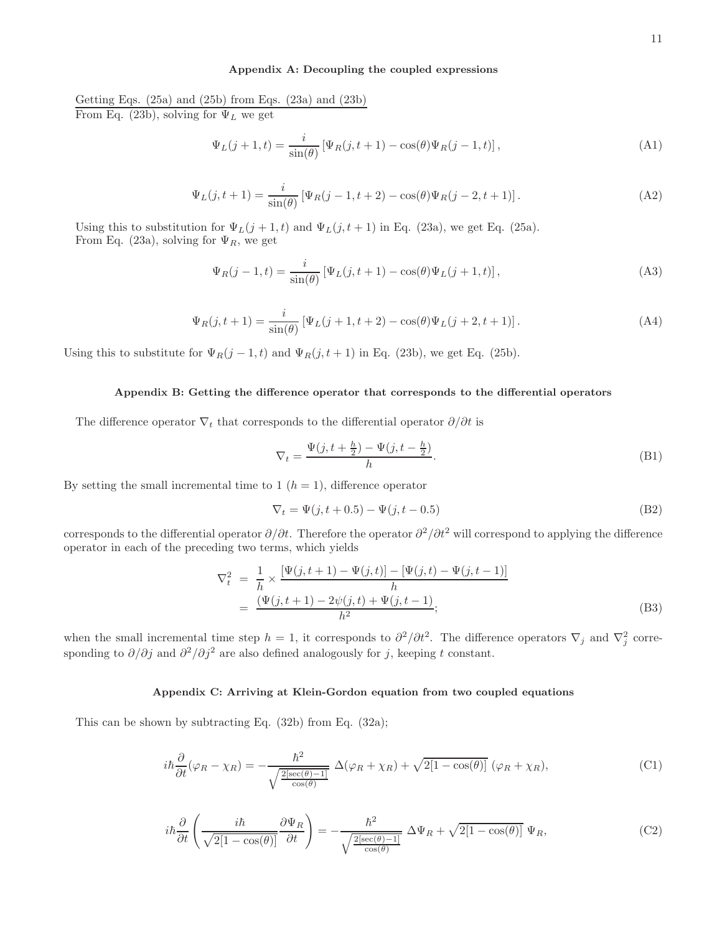## Appendix A: Decoupling the coupled expressions

Getting Eqs.  $(25a)$  and  $(25b)$  from Eqs.  $(23a)$  and  $(23b)$ From Eq. (23b), solving for  $\Psi_L$  we get

$$
\Psi_L(j+1,t) = \frac{i}{\sin(\theta)} \left[ \Psi_R(j,t+1) - \cos(\theta) \Psi_R(j-1,t) \right],\tag{A1}
$$

$$
\Psi_L(j, t+1) = \frac{i}{\sin(\theta)} \left[ \Psi_R(j-1, t+2) - \cos(\theta) \Psi_R(j-2, t+1) \right].
$$
\n(A2)

Using this to substitution for  $\Psi_L(j+1,t)$  and  $\Psi_L(j,t+1)$  in Eq. (23a), we get Eq. (25a). From Eq. (23a), solving for  $\Psi_R$ , we get

$$
\Psi_R(j-1,t) = \frac{i}{\sin(\theta)} \left[ \Psi_L(j,t+1) - \cos(\theta) \Psi_L(j+1,t) \right],\tag{A3}
$$

$$
\Psi_R(j, t+1) = \frac{i}{\sin(\theta)} \left[ \Psi_L(j+1, t+2) - \cos(\theta) \Psi_L(j+2, t+1) \right].
$$
\n(A4)

Using this to substitute for  $\Psi_R(j-1,t)$  and  $\Psi_R(j,t+1)$  in Eq. (23b), we get Eq. (25b).

# Appendix B: Getting the difference operator that corresponds to the differential operators

The difference operator  $\nabla_t$  that corresponds to the differential operator  $\partial/\partial t$  is

$$
\nabla_t = \frac{\Psi(j, t + \frac{h}{2}) - \Psi(j, t - \frac{h}{2})}{h}.
$$
\n(B1)

By setting the small incremental time to 1  $(h = 1)$ , difference operator

$$
\nabla_t = \Psi(j, t + 0.5) - \Psi(j, t - 0.5)
$$
 (B2)

corresponds to the differential operator  $\partial/\partial t$ . Therefore the operator  $\partial^2/\partial t^2$  will correspond to applying the difference operator in each of the preceding two terms, which yields

$$
\nabla_t^2 = \frac{1}{h} \times \frac{[\Psi(j, t+1) - \Psi(j, t)] - [\Psi(j, t) - \Psi(j, t-1)]}{h}
$$
  
= 
$$
\frac{(\Psi(j, t+1) - 2\psi(j, t) + \Psi(j, t-1))}{h^2};
$$
 (B3)

when the small incremental time step  $h = 1$ , it corresponds to  $\partial^2/\partial t^2$ . The difference operators  $\nabla_j$  and  $\nabla_j^2$  corresponding to  $\partial/\partial j$  and  $\partial^2/\partial j^2$  are also defined analogously for j, keeping t constant.

## Appendix C: Arriving at Klein-Gordon equation from two coupled equations

This can be shown by subtracting Eq. (32b) from Eq. (32a);

$$
i\hbar \frac{\partial}{\partial t}(\varphi_R - \chi_R) = -\frac{\hbar^2}{\sqrt{\frac{2[\sec(\theta) - 1]}{\cos(\theta)}}} \Delta(\varphi_R + \chi_R) + \sqrt{2[1 - \cos(\theta)]} (\varphi_R + \chi_R), \tag{C1}
$$

$$
i\hbar \frac{\partial}{\partial t} \left( \frac{i\hbar}{\sqrt{2[1-\cos(\theta)]}} \frac{\partial \Psi_R}{\partial t} \right) = -\frac{\hbar^2}{\sqrt{\frac{2[\sec(\theta)-1]}{\cos(\theta)}}} \Delta \Psi_R + \sqrt{2[1-\cos(\theta)]} \Psi_R, \tag{C2}
$$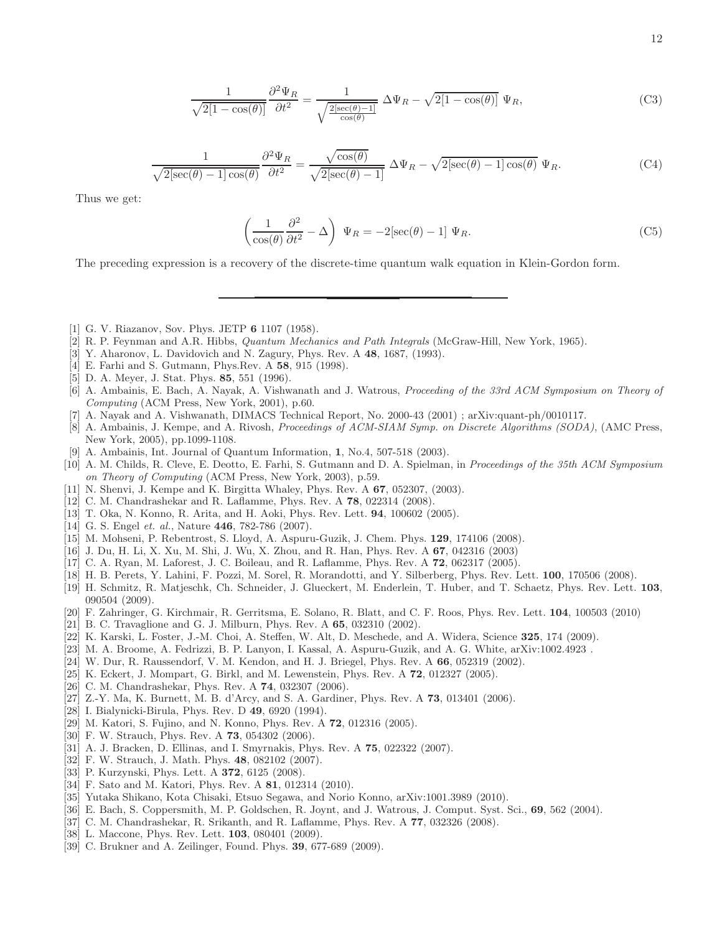$$
\frac{1}{\sqrt{2[1-\cos(\theta)]}}\frac{\partial^2 \Psi_R}{\partial t^2} = \frac{1}{\sqrt{\frac{2[\sec(\theta)-1]}{\cos(\theta)}}}\Delta\Psi_R - \sqrt{2[1-\cos(\theta)]}\Psi_R,\tag{C3}
$$

$$
\frac{1}{\sqrt{2[\sec(\theta) - 1]\cos(\theta)}} \frac{\partial^2 \Psi_R}{\partial t^2} = \frac{\sqrt{\cos(\theta)}}{\sqrt{2[\sec(\theta) - 1]}} \Delta \Psi_R - \sqrt{2[\sec(\theta) - 1]\cos(\theta)} \Psi_R.
$$
 (C4)

Thus we get:

$$
\left(\frac{1}{\cos(\theta)}\frac{\partial^2}{\partial t^2} - \Delta\right) \Psi_R = -2[\sec(\theta) - 1] \Psi_R.
$$
 (C5)

The preceding expression is a recovery of the discrete-time quantum walk equation in Klein-Gordon form.

- [1] G. V. Riazanov, Sov. Phys. JETP 6 1107 (1958).
- [2] R. P. Feynman and A.R. Hibbs, Quantum Mechanics and Path Integrals (McGraw-Hill, New York, 1965).
- [3] Y. Aharonov, L. Davidovich and N. Zagury, Phys. Rev. A 48, 1687, (1993).
- [4] E. Farhi and S. Gutmann, Phys.Rev. A 58, 915 (1998).
- [5] D. A. Meyer, J. Stat. Phys. 85, 551 (1996).
- [6] A. Ambainis, E. Bach, A. Nayak, A. Vishwanath and J. Watrous, Proceeding of the 33rd ACM Symposium on Theory of Computing (ACM Press, New York, 2001), p.60.
- [7] A. Nayak and A. Vishwanath, DIMACS Technical Report, No. 2000-43 (2001) ; arXiv:quant-ph/0010117.
- [8] A. Ambainis, J. Kempe, and A. Rivosh, Proceedings of ACM-SIAM Symp. on Discrete Algorithms (SODA), (AMC Press, New York, 2005), pp.1099-1108.
- [9] A. Ambainis, Int. Journal of Quantum Information, 1, No.4, 507-518 (2003).
- [10] A. M. Childs, R. Cleve, E. Deotto, E. Farhi, S. Gutmann and D. A. Spielman, in Proceedings of the 35th ACM Symposium on Theory of Computing (ACM Press, New York, 2003), p.59.
- [11] N. Shenvi, J. Kempe and K. Birgitta Whaley, Phys. Rev. A 67, 052307, (2003).
- [12] C. M. Chandrashekar and R. Laflamme, Phys. Rev. A 78, 022314 (2008).
- [13] T. Oka, N. Konno, R. Arita, and H. Aoki, Phys. Rev. Lett. 94, 100602 (2005).
- [14] G. S. Engel et. al., Nature 446, 782-786 (2007).
- [15] M. Mohseni, P. Rebentrost, S. Lloyd, A. Aspuru-Guzik, J. Chem. Phys. 129, 174106 (2008).
- [16] J. Du, H. Li, X. Xu, M. Shi, J. Wu, X. Zhou, and R. Han, Phys. Rev. A 67, 042316 (2003)
- [17] C. A. Ryan, M. Laforest, J. C. Boileau, and R. Laflamme, Phys. Rev. A 72, 062317 (2005).
- [18] H. B. Perets, Y. Lahini, F. Pozzi, M. Sorel, R. Morandotti, and Y. Silberberg, Phys. Rev. Lett. 100, 170506 (2008).
- [19] H. Schmitz, R. Matjeschk, Ch. Schneider, J. Glueckert, M. Enderlein, T. Huber, and T. Schaetz, Phys. Rev. Lett. 103, 090504 (2009).
- [20] F. Zahringer, G. Kirchmair, R. Gerritsma, E. Solano, R. Blatt, and C. F. Roos, Phys. Rev. Lett. 104, 100503 (2010)
- [21] B. C. Travaglione and G. J. Milburn, Phys. Rev. A 65, 032310 (2002).
- [22] K. Karski, L. Foster, J.-M. Choi, A. Steffen, W. Alt, D. Meschede, and A. Widera, Science 325, 174 (2009).
- [23] M. A. Broome, A. Fedrizzi, B. P. Lanyon, I. Kassal, A. Aspuru-Guzik, and A. G. White, arXiv:1002.4923 .
- [24] W. Dur, R. Raussendorf, V. M. Kendon, and H. J. Briegel, Phys. Rev. A 66, 052319 (2002).
- [25] K. Eckert, J. Mompart, G. Birkl, and M. Lewenstein, Phys. Rev. A 72, 012327 (2005).
- [26] C. M. Chandrashekar, Phys. Rev. A **74**, 032307 (2006).
- [27] Z.-Y. Ma, K. Burnett, M. B. d'Arcy, and S. A. Gardiner, Phys. Rev. A **73**, 013401 (2006).
- [28] I. Bialynicki-Birula, Phys. Rev. D 49, 6920 (1994).
- [29] M. Katori, S. Fujino, and N. Konno, Phys. Rev. A 72, 012316 (2005).
- [30] F. W. Strauch, Phys. Rev. A 73, 054302 (2006).
- [31] A. J. Bracken, D. Ellinas, and I. Smyrnakis, Phys. Rev. A 75, 022322 (2007).
- [32] F. W. Strauch, J. Math. Phys. 48, 082102 (2007).
- [33] P. Kurzynski, Phys. Lett. A **372**, 6125 (2008).
- [34] F. Sato and M. Katori, Phys. Rev. A **81**, 012314 (2010).
- [35] Yutaka Shikano, Kota Chisaki, Etsuo Segawa, and Norio Konno, arXiv:1001.3989 (2010).
- [36] E. Bach, S. Coppersmith, M. P. Goldschen, R. Joynt, and J. Watrous, J. Comput. Syst. Sci., 69, 562 (2004).
- [37] C. M. Chandrashekar, R. Srikanth, and R. Laflamme, Phys. Rev. A 77, 032326 (2008).
- [38] L. Maccone, Phys. Rev. Lett. **103**, 080401 (2009).
- [39] C. Brukner and A. Zeilinger, Found. Phys. 39, 677-689 (2009).